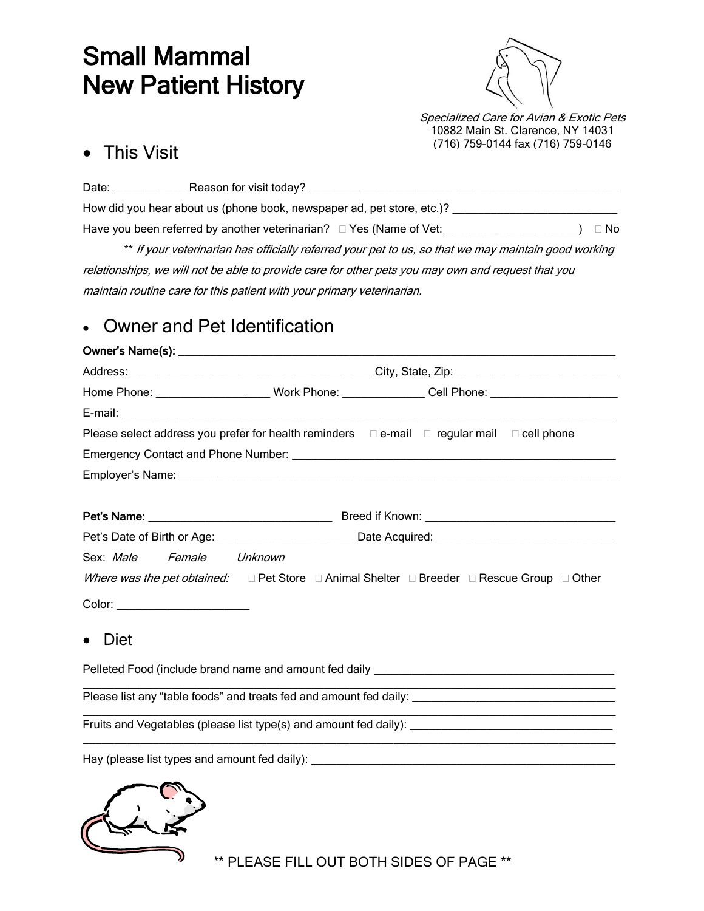# Small Mammal New Patient History



Specialized Care for Avian & Exotic Pets 10882 Main St. Clarence, NY 14031 (716) 759-0144 fax (716) 759-0146

## • This Visit

| Date: | Reason for visit today?                                                     |      |
|-------|-----------------------------------------------------------------------------|------|
|       | How did you hear about us (phone book, newspaper ad, pet store, etc.)?      |      |
|       | Have you been referred by another veterinarian? $\square$ Yes (Name of Vet: | ⊟ No |

\*\* If your veterinarian has officially referred your pet to us, so that we may maintain good working relationships, we will not be able to provide care for other pets you may own and request that you maintain routine care for this patient with your primary veterinarian.

# Owner and Pet Identification

#### Owner's Name(s): \_\_\_\_\_\_\_\_\_\_\_\_\_\_\_\_\_\_\_\_\_\_\_\_\_\_\_\_\_\_\_\_\_\_\_\_\_\_\_\_\_\_\_\_\_\_\_\_\_\_\_\_\_\_\_\_\_\_\_\_\_\_\_\_\_\_\_\_\_

| Home Phone: ______________________Work Phone: _______________Cell Phone: ___________________________                              |                                                                                                                |  |  |  |  |
|-----------------------------------------------------------------------------------------------------------------------------------|----------------------------------------------------------------------------------------------------------------|--|--|--|--|
|                                                                                                                                   |                                                                                                                |  |  |  |  |
| Please select address you prefer for health reminders $\square$ e-mail $\square$ regular mail $\square$ cell phone                |                                                                                                                |  |  |  |  |
|                                                                                                                                   |                                                                                                                |  |  |  |  |
|                                                                                                                                   |                                                                                                                |  |  |  |  |
|                                                                                                                                   |                                                                                                                |  |  |  |  |
|                                                                                                                                   |                                                                                                                |  |  |  |  |
|                                                                                                                                   | Pet's Date of Birth or Age: ________________________________Date Acquired: ___________________________________ |  |  |  |  |
| Sex: Male Female Unknown                                                                                                          |                                                                                                                |  |  |  |  |
| Where was the pet obtained: $\square$ Pet Store $\square$ Animal Shelter $\square$ Breeder $\square$ Rescue Group $\square$ Other |                                                                                                                |  |  |  |  |
| Color: ________________________                                                                                                   |                                                                                                                |  |  |  |  |
| Diet<br>$\bullet$                                                                                                                 |                                                                                                                |  |  |  |  |
| Pelleted Food (include brand name and amount fed daily entries) and the control of the control of the control of                  |                                                                                                                |  |  |  |  |

Please list any "table foods" and treats fed and amount fed daily:

\_\_\_\_\_\_\_\_\_\_\_\_\_\_\_\_\_\_\_\_\_\_\_\_\_\_\_\_\_\_\_\_\_\_\_\_\_\_\_\_\_\_\_\_\_\_\_\_\_\_\_\_\_\_\_\_\_\_\_\_\_\_\_\_\_\_\_\_\_\_\_\_\_\_\_\_\_\_\_\_\_\_\_\_ Fruits and Vegetables (please list type(s) and amount fed daily):

Hay (please list types and amount fed daily):



\*\* PLEASE FILL OUT BOTH SIDES OF PAGE \*\*